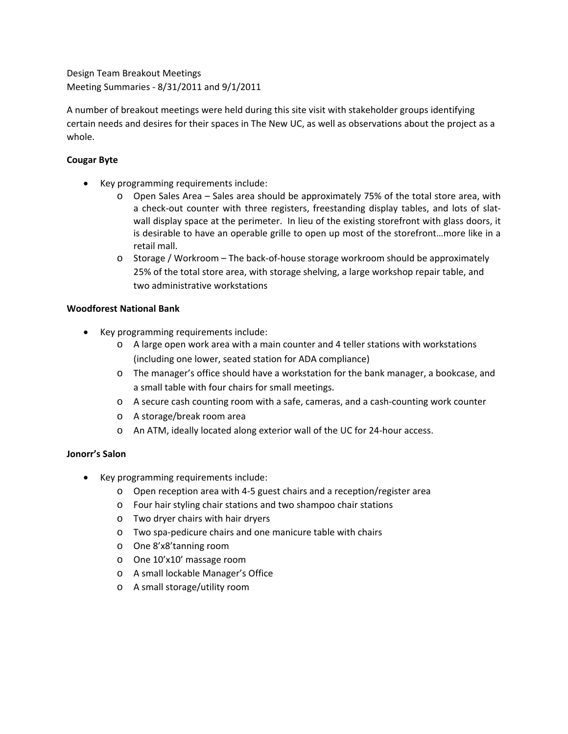Design Team Breakout Meetings Meeting Summaries ‐ 8/31/2011 and 9/1/2011

A number of breakout meetings were held during this site visit with stakeholder groups identifying certain needs and desires for their spaces in The New UC, as well as observations about the project as a whole.

# **Cougar Byte**

- Key programming requirements include:
	- o Open Sales Area Sales area should be approximately 75% of the total store area, with a check‐out counter with three registers, freestanding display tables, and lots of slat‐ wall display space at the perimeter. In lieu of the existing storefront with glass doors, it is desirable to have an operable grille to open up most of the storefront…more like in a retail mall.
	- o Storage / Workroom The back‐of‐house storage workroom should be approximately 25% of the total store area, with storage shelving, a large workshop repair table, and two administrative workstations

## **Woodforest National Bank**

- Key programming requirements include:
	- o A large open work area with a main counter and 4 teller stations with workstations (including one lower, seated station for ADA compliance)
	- o The manager's office should have a workstation for the bank manager, a bookcase, and a small table with four chairs for small meetings.
	- o A secure cash counting room with a safe, cameras, and a cash‐counting work counter
	- o A storage/break room area
	- o An ATM, ideally located along exterior wall of the UC for 24‐hour access.

## **Jonorr's Salon**

- Key programming requirements include:
	- o Open reception area with 4‐5 guest chairs and a reception/register area
	- o Four hair styling chair stations and two shampoo chair stations
	- o Two dryer chairs with hair dryers
	- o Two spa‐pedicure chairs and one manicure table with chairs
	- o One 8'x8'tanning room
	- o One 10'x10' massage room
	- o A small lockable Manager's Office
	- o A small storage/utility room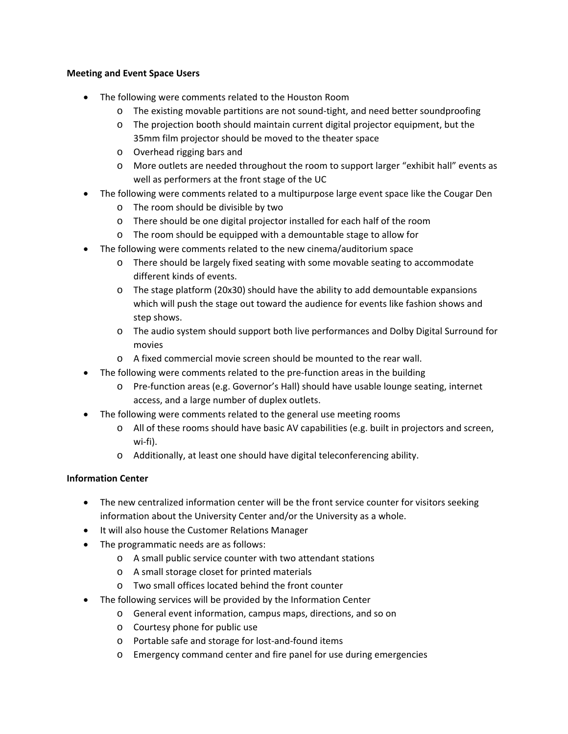### **Meeting and Event Space Users**

- The following were comments related to the Houston Room
	- o The existing movable partitions are not sound‐tight, and need better soundproofing
	- o The projection booth should maintain current digital projector equipment, but the 35mm film projector should be moved to the theater space
	- o Overhead rigging bars and
	- o More outlets are needed throughout the room to support larger "exhibit hall" events as well as performers at the front stage of the UC
- The following were comments related to a multipurpose large event space like the Cougar Den
	- o The room should be divisible by two
	- o There should be one digital projector installed for each half of the room
	- o The room should be equipped with a demountable stage to allow for
- The following were comments related to the new cinema/auditorium space
	- o There should be largely fixed seating with some movable seating to accommodate different kinds of events.
	- o The stage platform (20x30) should have the ability to add demountable expansions which will push the stage out toward the audience for events like fashion shows and step shows.
	- o The audio system should support both live performances and Dolby Digital Surround for movies
	- o A fixed commercial movie screen should be mounted to the rear wall.
- The following were comments related to the pre‐function areas in the building
	- o Pre‐function areas (e.g. Governor's Hall) should have usable lounge seating, internet access, and a large number of duplex outlets.
- The following were comments related to the general use meeting rooms
	- o All of these rooms should have basic AV capabilities (e.g. built in projectors and screen, wi‐fi).
	- o Additionally, at least one should have digital teleconferencing ability.

#### **Information Center**

- The new centralized information center will be the front service counter for visitors seeking information about the University Center and/or the University as a whole.
- It will also house the Customer Relations Manager
- The programmatic needs are as follows:
	- o A small public service counter with two attendant stations
	- o A small storage closet for printed materials
	- o Two small offices located behind the front counter
- The following services will be provided by the Information Center
	- o General event information, campus maps, directions, and so on
	- o Courtesy phone for public use
	- o Portable safe and storage for lost‐and‐found items
	- o Emergency command center and fire panel for use during emergencies